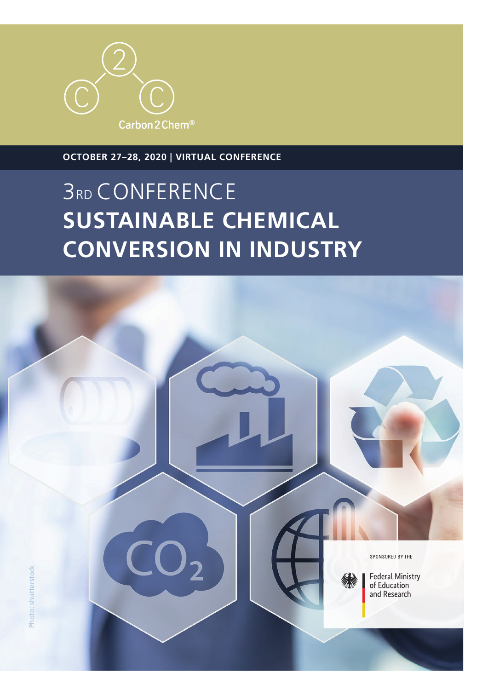# **3RD CONFERENCE SUSTAINABLE CHEMICAL CONVERSION IN INDUSTRY**



**OCTOBER 27–28, 2020 | VIRTUAL CONFERENCE**

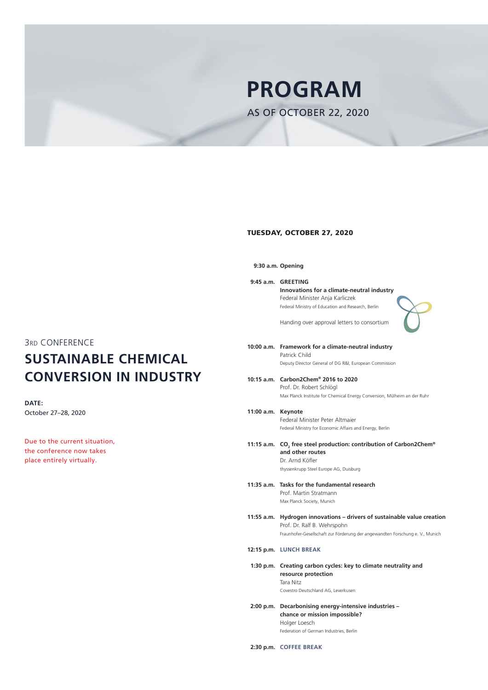# TUESDAY, OCTOBER 27, 2020

**9:30 a.m. Opening**

**9:45 a.m. GREETING Innovations for a climate-neutral industry** Federal Minister Anja Karliczek Federal Ministry of Education and Research, Berlin



Handing over approval letters to consortium

- **10:00 a.m. Framework for a climate-neutral industry** Patrick Child Deputy Director General of DG R&I, European Commission
	- **10:15 a.m. Carbon2Chem® 2016 to 2020**  Prof. Dr. Robert Schlögl Max Planck Institute for Chemical Energy Conversion, Mülheim an der Ruhr
	- **11:00 a.m. Keynote**  Federal Minister Peter Altmaier

- **11:15 a.m.** CO<sub>2</sub> free steel production: contribution of Carbon2Chem® **and other routes** Dr. Arnd Köfler thyssenkrupp Steel Europe AG, Duisburg
- **11:35 a.m. Tasks for the fundamental research**  Prof. Martin Stratmann Max Planck Society, Munich

Federal Ministry for Economic Affairs and Energy, Berlin

**11:55 a.m. Hydrogen innovations – drivers of sustainable value creation**

Prof. Dr. Ralf B. Wehrspohn Fraunhofer-Gesellschaft zur Förderung der angewandten Forschung e. V., Munich

#### **12:15 p.m. LUNCH BREAK**

**1:30 p.m. Creating carbon cycles: key to climate neutrality and resource protection** Tara Nitz Covestro Deutschland AG, Leverkusen

**2:00 p.m. Decarbonising energy-intensive industries – chance or mission impossible?** Holger Loesch Federation of German Industries, Berlin

**2:30 p.m. COFFEE BREAK**

**DATE:** October 27–28, 2020

Due to the current situation, the conference now takes place entirely virtually.

3RD CONFERENCE **SUSTAINABLE CHEMICAL CONVERSION IN INDUSTRY**

# **PROGRAM**

AS OF OCTOBER 22, 2020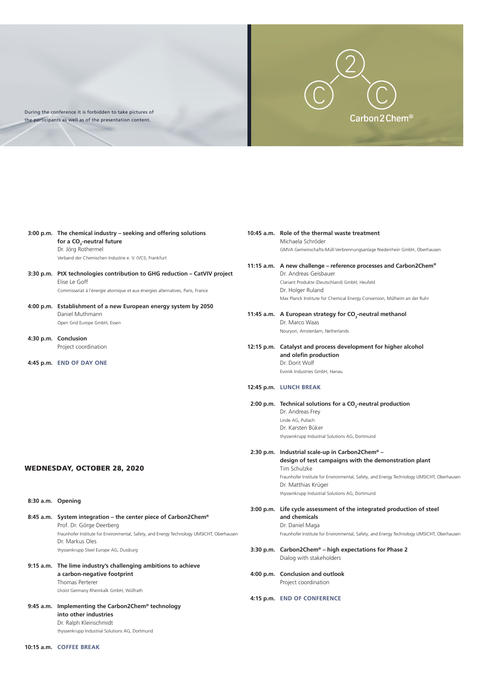# **3:00 p.m. The chemical industry – seeking and offering solutions for a CO2 -neutral future**  Dr. Jörg Rothermel Verband der Chemischen Industrie e. V. (VCI), Frankfurt

# **3:30 p.m. PtX technologies contribution to GHG reduction – CatVIV project** Elise Le Goff Commissariat á l´énergie atomique et aux énergies alternatives, Paris, France

- **4:00 p.m. Establishment of a new European energy system by 2050** Daniel Muthmann Open Grid Europe GmbH, Essen
- **4:30 p.m. Conclusion** Project coordination

**4:45 p.m. END OF DAY ONE**

#### WEDNESDAY, OCTOBER 28, 2020

**8:30 a.m. Opening**

**8:45 a.m. System integration – the center piece of Carbon2Chem®**

Prof. Dr. Görge Deerberg Fraunhofer Institute for Environmental, Safety, and Energy Technology UMSICHT, Oberhausen Dr. Markus Oles thyssenkrupp Steel Europe AG, Duisburg

# 11:45 a.m. A European strategy for CO<sub>2</sub>-neutral methanol Dr. Marco Waas Nouryon, Amsterdam, Netherlands

# **9:15 a.m. The lime industry's challenging ambitions to achieve a carbon-negative footprint**

Thomas Perterer Lhoist Germany Rheinkalk GmbH, Wülfrath

# **9:45 a.m. Implementing the Carbon2Chem® technology into other industries** Dr. Ralph Kleinschmidt

thyssenkrupp Industrial Solutions AG, Dortmund

### **10:15 a.m. COFFEE BREAK**

## **10:45 a.m. Role of the thermal waste treatment**  Michaela Schröder GMVA Gemeinschafts-Müll-Verbrennungsanlage Niederrhein GmbH, Oberhausen

# **11:15 a.m. A new challenge – reference processes and Carbon2Chem®**

Dr. Andreas Geisbauer Clariant Produkte (Deutschland) GmbH, Heufeld Dr. Holger Ruland Max Planck Institute for Chemical Energy Conversion, Mülheim an der Ruhr

**12:15 p.m. Catalyst and process development for higher alcohol and olefin production** Dr. Dorit Wolf Evonik Industries GmbH, Hanau

# **12:45 p.m. LUNCH BREAK**

# 2:00 p.m. Technical solutions for a CO<sub>2</sub>-neutral production

Dr. Andreas Frey Linde AG, Pullach Dr. Karsten Büker thyssenkrupp Industrial Solutions AG, Dortmund

# **2:30 p.m. Industrial scale-up in Carbon2Chem® – design of test campaigns with the demonstration plant**  Tim Schulzke Fraunhofer Institute for Environmental, Safety, and Energy Technology UMSICHT, Oberhausen Dr. Matthias Krüger thyssenkrupp Industrial Solutions AG, Dortmund

**3:00 p.m. Life cycle assessment of the integrated production of steel and chemicals** 

#### Dr. Daniel Maga

Fraunhofer Institute for Environmental, Safety, and Energy Technology UMSICHT, Oberhausen

# **3:30 p.m. Carbon2Chem® – high expectations for Phase 2** Dialog with stakeholders

**4:00 p.m. Conclusion and outlook** Project coordination

# **4:15 p.m. END OF CONFERENCE**



During the conference it is forbidden to take pictures of the participants as well as of the presentation content.